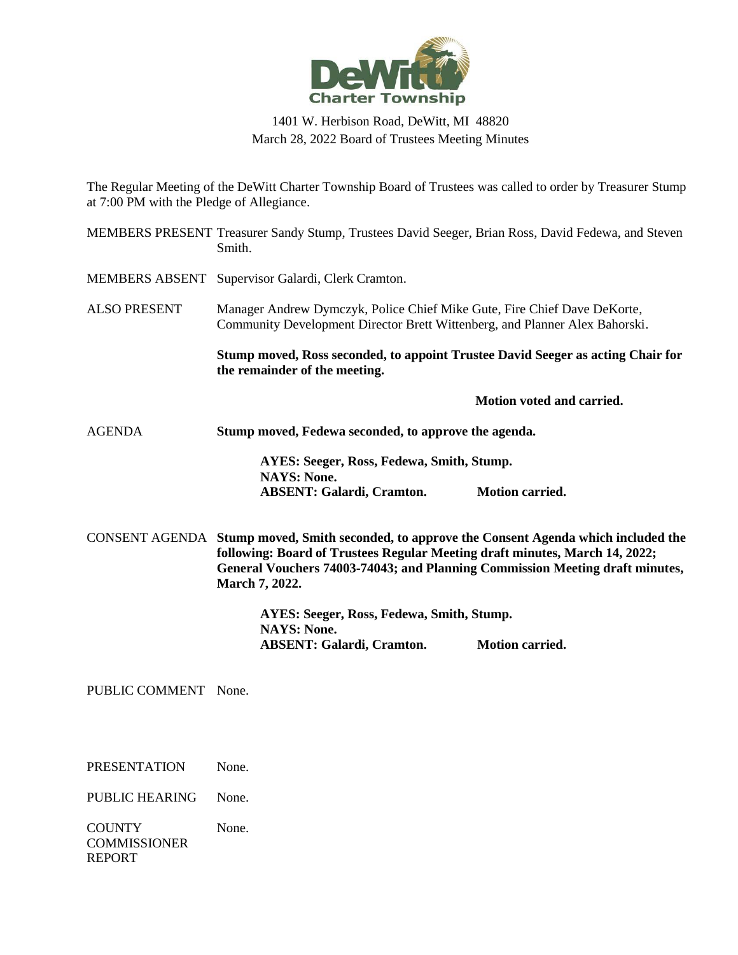

## 1401 W. Herbison Road, DeWitt, MI 48820 March 28, 2022 Board of Trustees Meeting Minutes

The Regular Meeting of the DeWitt Charter Township Board of Trustees was called to order by Treasurer Stump at 7:00 PM with the Pledge of Allegiance.

MEMBERS PRESENT Treasurer Sandy Stump, Trustees David Seeger, Brian Ross, David Fedewa, and Steven Smith. MEMBERS ABSENT Supervisor Galardi, Clerk Cramton. ALSO PRESENT Manager Andrew Dymczyk, Police Chief Mike Gute, Fire Chief Dave DeKorte, Community Development Director Brett Wittenberg, and Planner Alex Bahorski. **Stump moved, Ross seconded, to appoint Trustee David Seeger as acting Chair for the remainder of the meeting. Motion voted and carried.** AGENDA **Stump moved, Fedewa seconded, to approve the agenda. AYES: Seeger, Ross, Fedewa, Smith, Stump. NAYS: None. ABSENT: Galardi, Cramton. Motion carried.** CONSENT AGENDA **Stump moved, Smith seconded, to approve the Consent Agenda which included the following: Board of Trustees Regular Meeting draft minutes, March 14, 2022; General Vouchers 74003-74043; and Planning Commission Meeting draft minutes, March 7, 2022. AYES: Seeger, Ross, Fedewa, Smith, Stump. NAYS: None. ABSENT: Galardi, Cramton. Motion carried.** PUBLIC COMMENT None.

PRESENTATION None.

PUBLIC HEARING None.

**COUNTY COMMISSIONER** REPORT None.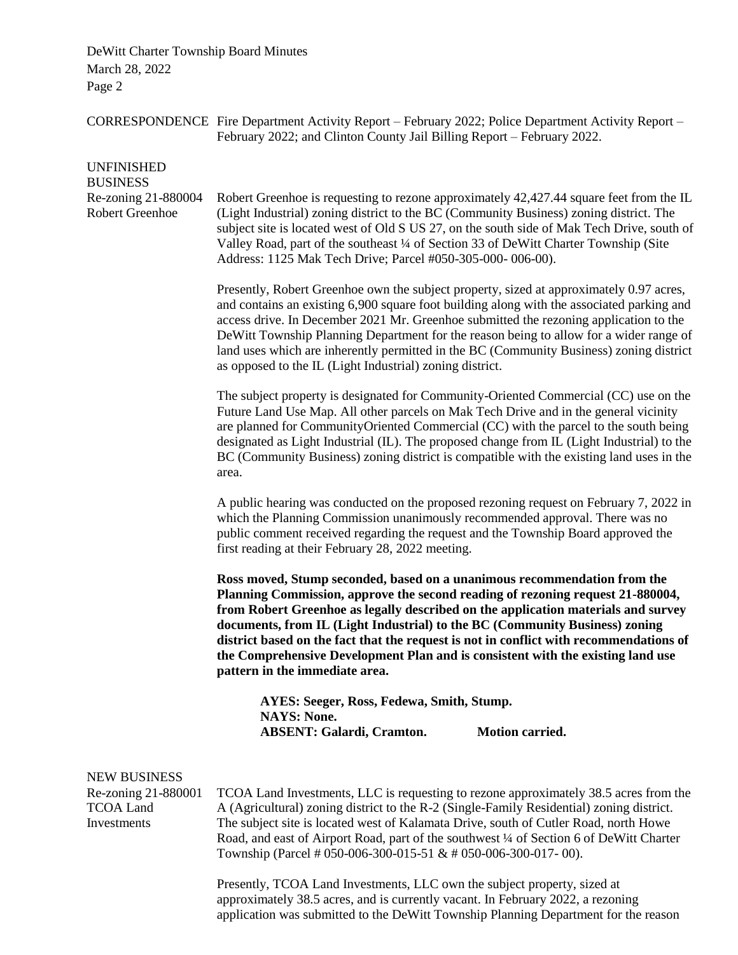|                                                                               | CORRESPONDENCE Fire Department Activity Report – February 2022; Police Department Activity Report –<br>February 2022; and Clinton County Jail Billing Report – February 2022.                                                                                                                                                                                                                                                                                                                                                                 |  |  |  |
|-------------------------------------------------------------------------------|-----------------------------------------------------------------------------------------------------------------------------------------------------------------------------------------------------------------------------------------------------------------------------------------------------------------------------------------------------------------------------------------------------------------------------------------------------------------------------------------------------------------------------------------------|--|--|--|
| <b>UNFINISHED</b><br><b>BUSINESS</b>                                          |                                                                                                                                                                                                                                                                                                                                                                                                                                                                                                                                               |  |  |  |
| Re-zoning 21-880004<br>Robert Greenhoe                                        | Robert Greenhoe is requesting to rezone approximately 42,427.44 square feet from the IL<br>(Light Industrial) zoning district to the BC (Community Business) zoning district. The<br>subject site is located west of Old S US 27, on the south side of Mak Tech Drive, south of<br>Valley Road, part of the southeast 1/4 of Section 33 of DeWitt Charter Township (Site<br>Address: 1125 Mak Tech Drive; Parcel #050-305-000-006-00).                                                                                                        |  |  |  |
|                                                                               | Presently, Robert Greenhoe own the subject property, sized at approximately 0.97 acres,<br>and contains an existing 6,900 square foot building along with the associated parking and<br>access drive. In December 2021 Mr. Greenhoe submitted the rezoning application to the<br>DeWitt Township Planning Department for the reason being to allow for a wider range of<br>land uses which are inherently permitted in the BC (Community Business) zoning district<br>as opposed to the IL (Light Industrial) zoning district.                |  |  |  |
|                                                                               | The subject property is designated for Community-Oriented Commercial (CC) use on the<br>Future Land Use Map. All other parcels on Mak Tech Drive and in the general vicinity<br>are planned for CommunityOriented Commercial (CC) with the parcel to the south being<br>designated as Light Industrial (IL). The proposed change from IL (Light Industrial) to the<br>BC (Community Business) zoning district is compatible with the existing land uses in the<br>area.                                                                       |  |  |  |
|                                                                               | A public hearing was conducted on the proposed rezoning request on February 7, 2022 in<br>which the Planning Commission unanimously recommended approval. There was no<br>public comment received regarding the request and the Township Board approved the<br>first reading at their February 28, 2022 meeting.                                                                                                                                                                                                                              |  |  |  |
|                                                                               | Ross moved, Stump seconded, based on a unanimous recommendation from the<br>Planning Commission, approve the second reading of rezoning request 21-880004,<br>from Robert Greenhoe as legally described on the application materials and survey<br>documents, from IL (Light Industrial) to the BC (Community Business) zoning<br>district based on the fact that the request is not in conflict with recommendations of<br>the Comprehensive Development Plan and is consistent with the existing land use<br>pattern in the immediate area. |  |  |  |
|                                                                               | AYES: Seeger, Ross, Fedewa, Smith, Stump.<br><b>NAYS: None.</b>                                                                                                                                                                                                                                                                                                                                                                                                                                                                               |  |  |  |
|                                                                               | <b>ABSENT: Galardi, Cramton.</b><br>Motion carried.                                                                                                                                                                                                                                                                                                                                                                                                                                                                                           |  |  |  |
| <b>NEW BUSINESS</b><br>Re-zoning 21-880001<br><b>TCOA Land</b><br>Investments | TCOA Land Investments, LLC is requesting to rezone approximately 38.5 acres from the<br>A (Agricultural) zoning district to the R-2 (Single-Family Residential) zoning district.<br>The subject site is located west of Kalamata Drive, south of Cutler Road, north Howe<br>Road, and east of Airport Road, part of the southwest 1/4 of Section 6 of DeWitt Charter<br>Township (Parcel # 050-006-300-015-51 & # 050-006-300-017-00).                                                                                                        |  |  |  |

Presently, TCOA Land Investments, LLC own the subject property, sized at approximately 38.5 acres, and is currently vacant. In February 2022, a rezoning application was submitted to the DeWitt Township Planning Department for the reason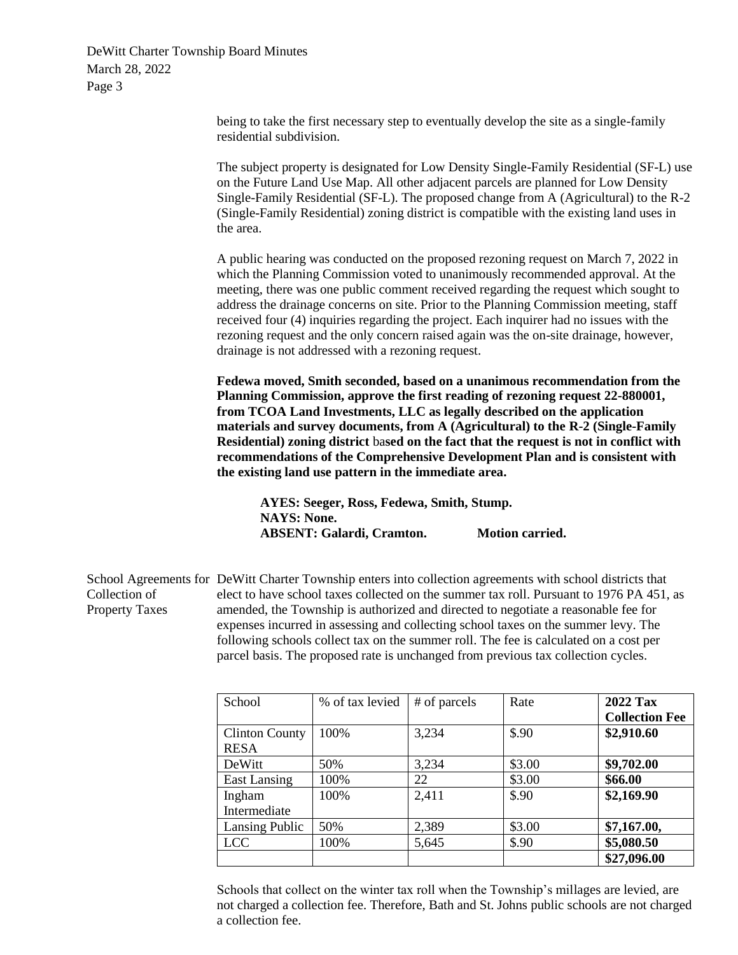> being to take the first necessary step to eventually develop the site as a single-family residential subdivision.

The subject property is designated for Low Density Single-Family Residential (SF-L) use on the Future Land Use Map. All other adjacent parcels are planned for Low Density Single-Family Residential (SF-L). The proposed change from A (Agricultural) to the R-2 (Single-Family Residential) zoning district is compatible with the existing land uses in the area.

A public hearing was conducted on the proposed rezoning request on March 7, 2022 in which the Planning Commission voted to unanimously recommended approval. At the meeting, there was one public comment received regarding the request which sought to address the drainage concerns on site. Prior to the Planning Commission meeting, staff received four (4) inquiries regarding the project. Each inquirer had no issues with the rezoning request and the only concern raised again was the on-site drainage, however, drainage is not addressed with a rezoning request.

**Fedewa moved, Smith seconded, based on a unanimous recommendation from the Planning Commission, approve the first reading of rezoning request 22-880001, from TCOA Land Investments, LLC as legally described on the application materials and survey documents, from A (Agricultural) to the R-2 (Single-Family Residential) zoning district** ba**sed on the fact that the request is not in conflict with recommendations of the Comprehensive Development Plan and is consistent with the existing land use pattern in the immediate area.**

**AYES: Seeger, Ross, Fedewa, Smith, Stump. NAYS: None. ABSENT: Galardi, Cramton. Motion carried.**

School Agreements for DeWitt Charter Township enters into collection agreements with school districts that Collection of Property Taxes elect to have school taxes collected on the summer tax roll. Pursuant to 1976 PA 451, as amended, the Township is authorized and directed to negotiate a reasonable fee for expenses incurred in assessing and collecting school taxes on the summer levy. The following schools collect tax on the summer roll. The fee is calculated on a cost per parcel basis. The proposed rate is unchanged from previous tax collection cycles.

| School                               | % of tax levied | # of parcels | Rate   | 2022 Tax<br><b>Collection Fee</b> |
|--------------------------------------|-----------------|--------------|--------|-----------------------------------|
| <b>Clinton County</b><br><b>RESA</b> | 100%            | 3,234        | \$.90  | \$2,910.60                        |
| DeWitt                               | 50%             | 3,234        | \$3.00 | \$9,702.00                        |
| <b>East Lansing</b>                  | 100%            | 22           | \$3.00 | \$66.00                           |
| Ingham<br>Intermediate               | 100%            | 2,411        | \$.90  | \$2,169.90                        |
| Lansing Public                       | 50%             | 2,389        | \$3.00 | \$7,167.00,                       |
| <b>LCC</b>                           | 100%            | 5,645        | \$.90  | \$5,080.50                        |
|                                      |                 |              |        | \$27,096.00                       |

Schools that collect on the winter tax roll when the Township's millages are levied, are not charged a collection fee. Therefore, Bath and St. Johns public schools are not charged a collection fee.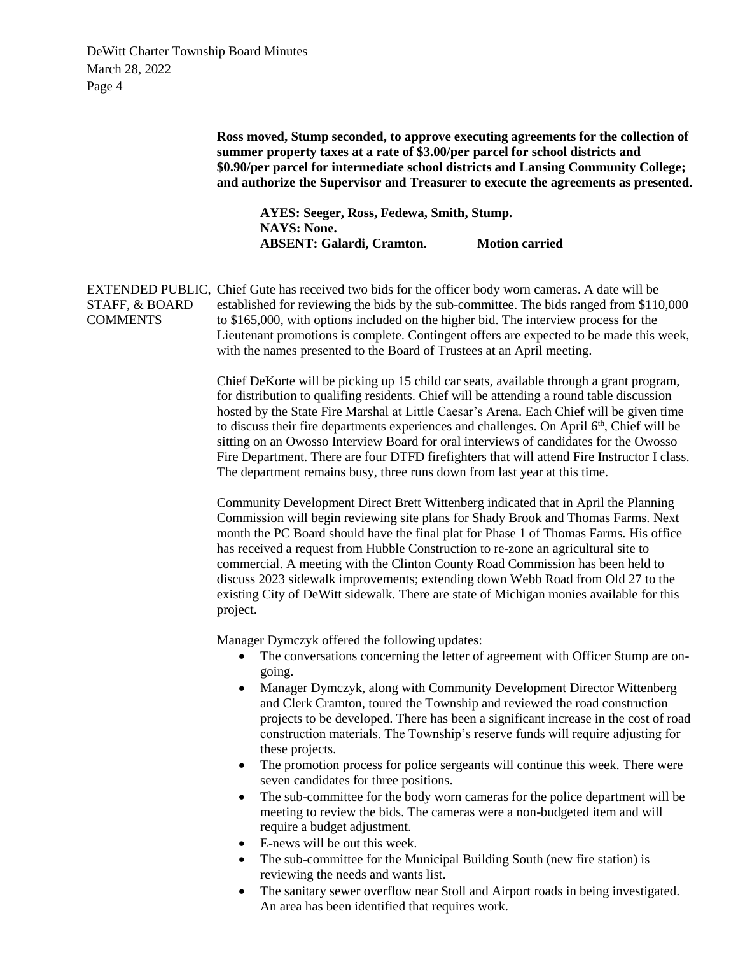|                                   | Ross moved, Stump seconded, to approve executing agreements for the collection of<br>summer property taxes at a rate of \$3.00/per parcel for school districts and<br>\$0.90/per parcel for intermediate school districts and Lansing Community College;<br>and authorize the Supervisor and Treasurer to execute the agreements as presented.                                                                                                                                                                                                                                                                                                                                                                                                                                                                                                                                                                                                                                                  |
|-----------------------------------|-------------------------------------------------------------------------------------------------------------------------------------------------------------------------------------------------------------------------------------------------------------------------------------------------------------------------------------------------------------------------------------------------------------------------------------------------------------------------------------------------------------------------------------------------------------------------------------------------------------------------------------------------------------------------------------------------------------------------------------------------------------------------------------------------------------------------------------------------------------------------------------------------------------------------------------------------------------------------------------------------|
|                                   | AYES: Seeger, Ross, Fedewa, Smith, Stump.                                                                                                                                                                                                                                                                                                                                                                                                                                                                                                                                                                                                                                                                                                                                                                                                                                                                                                                                                       |
|                                   | <b>NAYS: None.</b><br><b>ABSENT: Galardi, Cramton.</b><br><b>Motion carried</b>                                                                                                                                                                                                                                                                                                                                                                                                                                                                                                                                                                                                                                                                                                                                                                                                                                                                                                                 |
| STAFF, & BOARD<br><b>COMMENTS</b> | EXTENDED PUBLIC, Chief Gute has received two bids for the officer body worn cameras. A date will be<br>established for reviewing the bids by the sub-committee. The bids ranged from \$110,000<br>to \$165,000, with options included on the higher bid. The interview process for the<br>Lieutenant promotions is complete. Contingent offers are expected to be made this week,<br>with the names presented to the Board of Trustees at an April meeting.                                                                                                                                                                                                                                                                                                                                                                                                                                                                                                                                     |
|                                   | Chief DeKorte will be picking up 15 child car seats, available through a grant program,<br>for distribution to qualifing residents. Chief will be attending a round table discussion<br>hosted by the State Fire Marshal at Little Caesar's Arena. Each Chief will be given time<br>to discuss their fire departments experiences and challenges. On April 6 <sup>th</sup> , Chief will be<br>sitting on an Owosso Interview Board for oral interviews of candidates for the Owosso<br>Fire Department. There are four DTFD firefighters that will attend Fire Instructor I class.<br>The department remains busy, three runs down from last year at this time.                                                                                                                                                                                                                                                                                                                                 |
|                                   | Community Development Direct Brett Wittenberg indicated that in April the Planning<br>Commission will begin reviewing site plans for Shady Brook and Thomas Farms. Next<br>month the PC Board should have the final plat for Phase 1 of Thomas Farms. His office<br>has received a request from Hubble Construction to re-zone an agricultural site to<br>commercial. A meeting with the Clinton County Road Commission has been held to<br>discuss 2023 sidewalk improvements; extending down Webb Road from Old 27 to the<br>existing City of DeWitt sidewalk. There are state of Michigan monies available for this<br>project.                                                                                                                                                                                                                                                                                                                                                              |
|                                   | Manager Dymczyk offered the following updates:<br>The conversations concerning the letter of agreement with Officer Stump are on-<br>going.<br>Manager Dymczyk, along with Community Development Director Wittenberg<br>and Clerk Cramton, toured the Township and reviewed the road construction<br>projects to be developed. There has been a significant increase in the cost of road<br>construction materials. The Township's reserve funds will require adjusting for<br>these projects.<br>The promotion process for police sergeants will continue this week. There were<br>٠<br>seven candidates for three positions.<br>The sub-committee for the body worn cameras for the police department will be<br>٠<br>meeting to review the bids. The cameras were a non-budgeted item and will<br>require a budget adjustment.<br>E-news will be out this week.<br>٠<br>The sub-committee for the Municipal Building South (new fire station) is<br>٠<br>reviewing the needs and wants list. |

• The sanitary sewer overflow near Stoll and Airport roads in being investigated. An area has been identified that requires work.